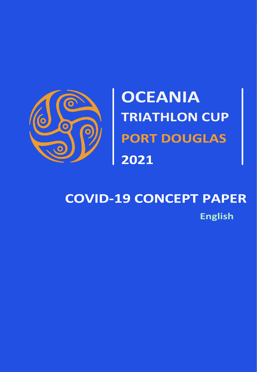

# **COVID-19 CONCEPT PAPER English**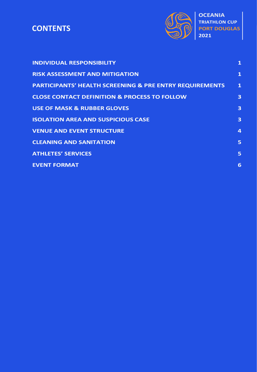#### **CONTENTS CONTENTS**



| <b>INDIVIDUAL RESPONSIBILITY</b>                                   | $\mathbf{1}$            |
|--------------------------------------------------------------------|-------------------------|
| <b>RISK ASSESSMENT AND MITIGATION</b>                              | $\mathbf{1}$            |
| <b>PARTICIPANTS' HEALTH SCREENING &amp; PRE ENTRY REQUIREMENTS</b> | $\mathbf{1}$            |
| <b>CLOSE CONTACT DEFINITION &amp; PROCESS TO FOLLOW</b>            | 3                       |
| <b>USE OF MASK &amp; RUBBER GLOVES</b>                             | $\overline{\mathbf{3}}$ |
| <b>ISOLATION AREA AND SUSPICIOUS CASE</b>                          | 3                       |
| <b>VENUE AND EVENT STRUCTURE</b>                                   | $\overline{4}$          |
| <b>CLEANING AND SANITATION</b>                                     | 5                       |
| <b>ATHLETES' SERVICES</b>                                          | 5                       |
| <b>EVENT FORMAT</b>                                                | 6                       |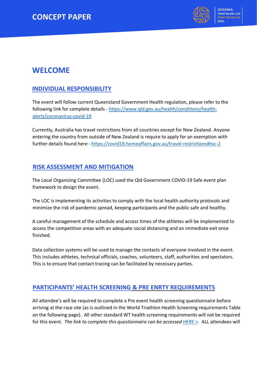

# **WELCOME**

# **INDIVIDUAL RESPONSIBILITY**

The event will follow current Queensland Government Health regulation, please refer to the following link for complete details - [https://www.qld.gov.au/health/conditions/health](https://www.qld.gov.au/health/conditions/health-alerts/coronavirus-covid-19)[alerts/coronavirus-covid-19](https://www.qld.gov.au/health/conditions/health-alerts/coronavirus-covid-19)

Currently, Australia has travel restrictions from all countries except for New Zealand. Anyone entering the country from outside of New Zealand is require to apply for an exemption with further details found here - <https://covid19.homeaffairs.gov.au/travel-restrictions#toc-2>

## **RISK ASSESSMENT AND MITIGATION**

The Local Organizing Committee (LOC) used the Qld Government COVID-19 Safe event plan framework to design the event.

The LOC is implementing its activities to comply with the local health authority protocols and minimize the risk of pandemic spread, keeping participants and the public safe and healthy.

A careful management of the schedule and access times of the athletes will be implemented to access the competition areas with an adequate social distancing and an immediate exit once finished.

Data collection systems will be used to manage the contacts of everyone involved in the event. This includes athletes, technical officials, coaches, volunteers, staff, authorities and spectators. This is to ensure that contact tracing can be facilitated by necessary parties.

## **PARTICIPANTS' HEALTH SCREENING & PRE ENRTY REQUIREMENTS**

All attendee's will be required to complete a Pre event health screening questionnaire before arriving at the race site (as is outlined in the World Triathlon Health Screening requirements Table on the following page). All other standard WT health screening requirements will not be required for this event. *The link to complete this questionnaire can be accesse[d HERE >.](https://forms.office.com/r/wxKAjACVpP)* ALL attendees will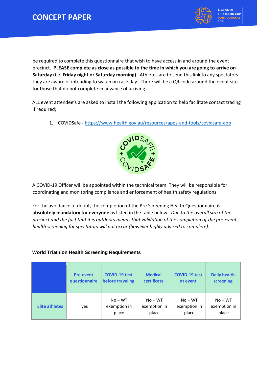

**OCEANIA TRIATHLON CUP PORT DOUGLAS 2021**

be required to complete this questionnaire that wish to have access in and around the event precinct. **PLEASE complete as close as possible to the time in which you are going to arrive on Saturday (i.e. Friday night or Saturday morning).** Athletes are to send this link to any spectators they are aware of intending to watch on race day. There will be a QR code around the event site for those that do not complete in advance of arriving.

ALL event attendee's are asked to install the following application to help facilitate contact tracing if required;

1. COVIDSafe - <https://www.health.gov.au/resources/apps-and-tools/covidsafe-app>



A COVID-19 Officer will be appointed within the technical team. They will be responsible for coordinating and monitoring compliance and enforcement of health safety regulations.

For the avoidance of doubt, the completion of the Pre Screening Health Questionnaire is **absolutely mandatory** for **everyone** as listed in the table below. *Due to the overall size of the precinct and the fact that it is outdoors means that validation of the completion of the pre-event health screening for spectators will not occur (however highly advised to complete).*

#### **World Triathlon Health Screening Requirements**

|                       | <b>Pre-event</b> | <b>COVID-19 test</b>               | <b>Medical</b>                     | <b>COVID-19 test</b>               | <b>Daily health</b>                |
|-----------------------|------------------|------------------------------------|------------------------------------|------------------------------------|------------------------------------|
|                       | questionnaire    | before traveling                   | certificate                        | at event                           | screening                          |
| <b>Elite athletes</b> | yes              | $No - WT$<br>exemption in<br>place | $No - WT$<br>exemption in<br>place | $No - WT$<br>exemption in<br>place | $No - WT$<br>exemption in<br>place |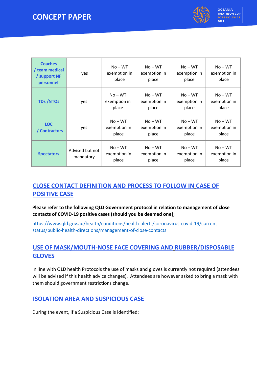

| <b>Coaches</b><br>/ team medical<br>/ support NF<br>personnel | yes                          | $No - WT$<br>exemption in<br>place | $No - WT$<br>exemption in<br>place | $No - WT$<br>exemption in<br>place | $No - WT$<br>exemption in<br>place |
|---------------------------------------------------------------|------------------------------|------------------------------------|------------------------------------|------------------------------------|------------------------------------|
| <b>TDs/NTOs</b>                                               | yes                          | $No - WT$<br>exemption in<br>place | $No - WT$<br>exemption in<br>place | $No - WT$<br>exemption in<br>place | $No - WT$<br>exemption in<br>place |
| <b>LOC</b><br>/ Contractors                                   | yes                          | $No - WT$<br>exemption in<br>place | $No - WT$<br>exemption in<br>place | $No - WT$<br>exemption in<br>place | $No - WT$<br>exemption in<br>place |
| <b>Spectators</b>                                             | Advised but not<br>mandatory | $No - WT$<br>exemption in<br>place | $No - WT$<br>exemption in<br>place | $No - WT$<br>exemption in<br>place | $No - WT$<br>exemption in<br>place |

# **CLOSE CONTACT DEFINITION AND PROCESS TO FOLLOW IN CASE OF POSITIVE CASE**

**Please refer to the following QLD Government protocol in relation to management of close contacts of COVID-19 positive cases (should you be deemed one);**

[https://www.qld.gov.au/health/conditions/health-alerts/coronavirus-covid-19/current](https://www.qld.gov.au/health/conditions/health-alerts/coronavirus-covid-19/current-status/public-health-directions/management-of-close-contacts)[status/public-health-directions/management-of-close-contacts](https://www.qld.gov.au/health/conditions/health-alerts/coronavirus-covid-19/current-status/public-health-directions/management-of-close-contacts)

# **USE OF MASK/MOUTH-NOSE FACE COVERING AND RUBBER/DISPOSABLE GLOVES**

In line with QLD health Protocols the use of masks and gloves is currently not required (attendees will be advised if this health advice changes). Attendees are however asked to bring a mask with them should government restrictions change.

## **ISOLATION AREA AND SUSPICIOUS CASE**

During the event, if a Suspicious Case is identified: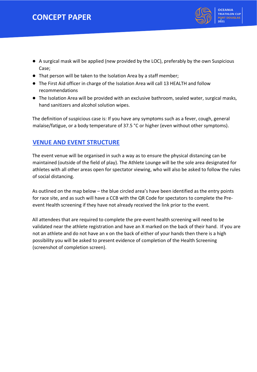# **CONCEPT PAPER**



- A surgical mask will be applied (new provided by the LOC), preferably by the own Suspicious Case;
- That person will be taken to the Isolation Area by a staff member;
- The First Aid officer in charge of the Isolation Area will call 13 HEALTH and follow recommendations
- The Isolation Area will be provided with an exclusive bathroom, sealed water, surgical masks, hand sanitizers and alcohol solution wipes.

The definition of suspicious case is: If you have any symptoms such as a fever, cough, general malaise/fatigue, or a body temperature of 37.5 °C or higher (even without other symptoms).

## **VENUE AND EVENT STRUCTURE**

The event venue will be organised in such a way as to ensure the physical distancing can be maintained (outside of the field of play). The Athlete Lounge will be the sole area designated for athletes with all other areas open for spectator viewing, who will also be asked to follow the rules of social distancing.

As outlined on the map below – the blue circled area's have been identified as the entry points for race site, and as such will have a CCB with the QR Code for spectators to complete the Preevent Health screening if they have not already received the link prior to the event.

All attendees that are required to complete the pre-event health screening will need to be validated near the athlete registration and have an X marked on the back of their hand. If you are not an athlete and do not have an x on the back of either of your hands then there is a high possibility you will be asked to present evidence of completion of the Health Screening (screenshot of completion screen).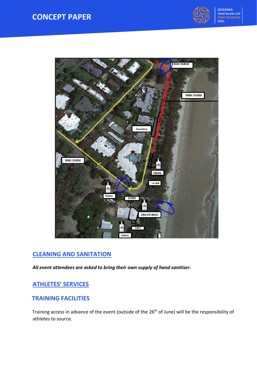



# **CLEANING AND SANITATION**

*All event attendees are asked to bring their own supply of hand sanitiser.*

## **ATHLETES' SERVICES**

#### **TRAINING FACILITIES**

Training access in advance of the event (outside of the 26<sup>th</sup> of June) will be the responsibility of athletes to source.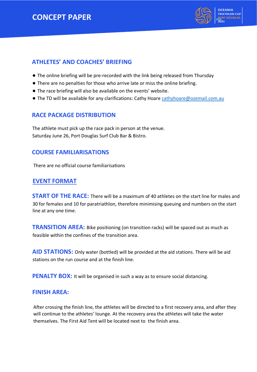# **CONCEPT PAPER**



#### **ATHLETES' AND COACHES' BRIEFING**

- The online briefing will be pre-recorded with the link being released from Thursday
- There are no penalties for those who arrive late or miss the online briefing.
- The race briefing will also be available on the events' website.
- The TD will be available for any clarifications: Cathy Hoare [cathyhoare@ozemail.com.au](mailto:cathyhoare@ozemail.com.au)

#### **RACE PACKAGE DISTRIBUTION**

The athlete must pick up the race pack in person at the venue. Saturday June 26, Port Douglas Surf Club Bar & Bistro.

#### **COURSE FAMILIARISATIONS**

There are no official course familiarisations

#### **EVENT FORMAT**

**START OF THE RACE:** There will be a maximum of 40 athletes on the start line for males and 30 for females and 10 for paratriathlon, therefore minimising queuing and numbers on the start line at any one time.

**TRANSITION AREA:** Bike positioning (on transition racks) will be spaced out as much as feasible within the confines of the transition area.

**AID STATIONS:** Only water (bottled) will be provided at the aid stations. There will be aid stations on the run course and at the finish line.

**PENALTY BOX:** It will be organised in such a way as to ensure social distancing.

#### **FINISH AREA:**

After crossing the finish line, the athletes will be directed to a first recovery area, and after they will continue to the athletes' lounge. At the recovery area the athletes will take the water themselves. The First Aid Tent will be located next to the finish area.